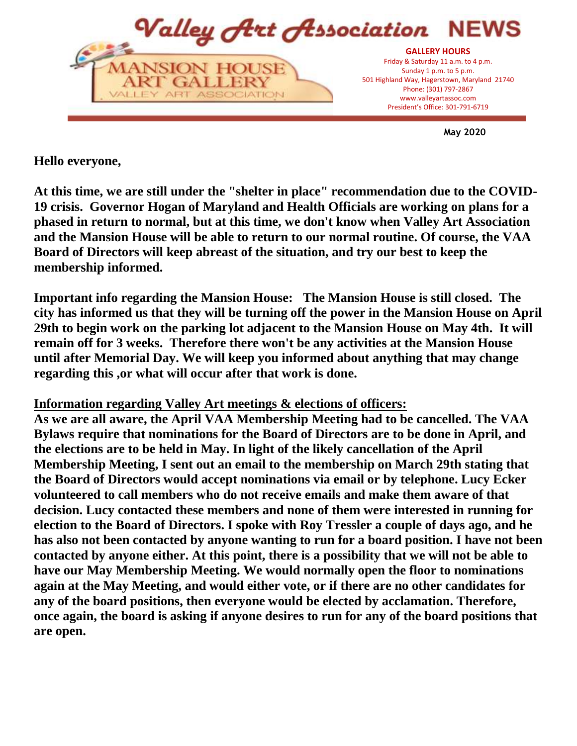

**May 2020**

**Hello everyone,**

**At this time, we are still under the "shelter in place" recommendation due to the COVID-19 crisis. Governor Hogan of Maryland and Health Officials are working on plans for a phased in return to normal, but at this time, we don't know when Valley Art Association and the Mansion House will be able to return to our normal routine. Of course, the VAA Board of Directors will keep abreast of the situation, and try our best to keep the membership informed.**

**Important info regarding the Mansion House: The Mansion House is still closed. The city has informed us that they will be turning off the power in the Mansion House on April 29th to begin work on the parking lot adjacent to the Mansion House on May 4th. It will remain off for 3 weeks. Therefore there won't be any activities at the Mansion House until after Memorial Day. We will keep you informed about anything that may change regarding this ,or what will occur after that work is done.**

## **Information regarding Valley Art meetings & elections of officers:**

**As we are all aware, the April VAA Membership Meeting had to be cancelled. The VAA Bylaws require that nominations for the Board of Directors are to be done in April, and the elections are to be held in May. In light of the likely cancellation of the April Membership Meeting, I sent out an email to the membership on March 29th stating that the Board of Directors would accept nominations via email or by telephone. Lucy Ecker volunteered to call members who do not receive emails and make them aware of that decision. Lucy contacted these members and none of them were interested in running for election to the Board of Directors. I spoke with Roy Tressler a couple of days ago, and he has also not been contacted by anyone wanting to run for a board position. I have not been contacted by anyone either. At this point, there is a possibility that we will not be able to have our May Membership Meeting. We would normally open the floor to nominations again at the May Meeting, and would either vote, or if there are no other candidates for any of the board positions, then everyone would be elected by acclamation. Therefore, once again, the board is asking if anyone desires to run for any of the board positions that are open.**